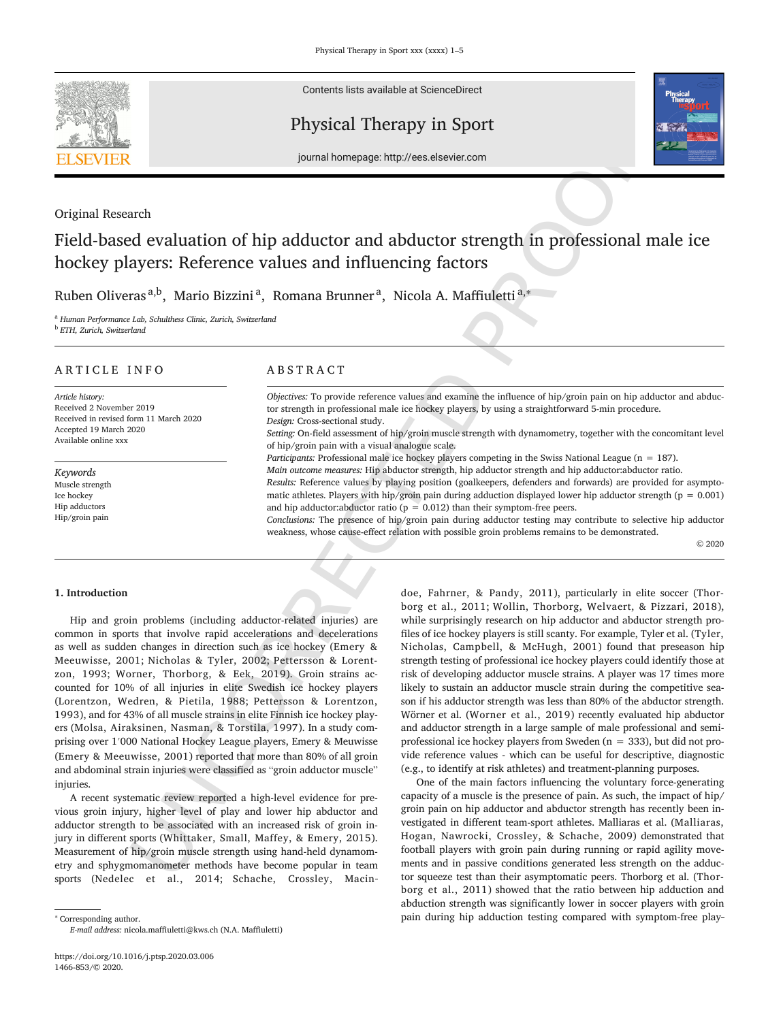

Contents lists available at ScienceDirect

## Physical Therapy in Sport



journal homepage: http://ees.elsevier.com

## Original Research

# Field-based evaluation of hip adductor and abductor strength in professional male ice hockey players: Reference values and influencing factors

Ruben Oliveras<sup>a,b</sup>, Mario Bizzini<sup>a</sup>, Romana Brunner<sup>a</sup>, Nicola A. Maffiuletti<sup>a,</sup>\*

<sup>a</sup> *Human Performance Lab, Schulthess Clinic, Zurich, Switzerland*

<sup>b</sup> *ETH, Zurich, Switzerland*

## ARTICLE INFO

*Article history:* Received 2 November 2019 Received in revised form 11 March 2020 Accepted 19 March 2020 Available online xxx

*Keywords* Muscle strength Ice hockey Hip adductors Hip/groin pain

## ABSTRACT

*Objectives:* To provide reference values and examine the influence of hip/groin pain on hip adductor and abductor strength in professional male ice hockey players, by using a straightforward 5-min procedure. *Design:* Cross-sectional study.

*Setting:* On-field assessment of hip/groin muscle strength with dynamometry, together with the concomitant level of hip/groin pain with a visual analogue scale.

*Participants:* Professional male ice hockey players competing in the Swiss National League (n = 187).

*Main outcome measures:* Hip abductor strength, hip adductor strength and hip adductor:abductor ratio.

*Results:* Reference values by playing position (goalkeepers, defenders and forwards) are provided for asymptomatic athletes. Players with hip/groin pain during adduction displayed lower hip adductor strength ( $p = 0.001$ ) and hip adductor:abductor ratio ( $p = 0.012$ ) than their symptom-free peers.

*Conclusions:* The presence of hip/groin pain during adductor testing may contribute to selective hip adductor weakness, whose cause-effect relation with possible groin problems remains to be demonstrated.

© 2020

## **1. Introduction**

Hip and groin problems (including adductor-related injuries) are common in sports that involve rapid accelerations and decelerations as well as sudden changes in direction such as ice hockey (Emery & Meeuwisse, 2001; Nicholas & Tyler, 2002; Pettersson & Lorentzon, 1993; Worner, Thorborg, & Eek, 2019). Groin strains accounted for 10% of all injuries in elite Swedish ice hockey players (Lorentzon, Wedren, & Pietila, 1988; Pettersson & Lorentzon, 1993), and for 43% of all muscle strains in elite Finnish ice hockey players (Molsa, Airaksinen, Nasman, & Torstila, 1997). In a study comprising over 1′000 National Hockey League players, Emery & Meuwisse (Emery & Meeuwisse, 2001) reported that more than 80% of all groin and abdominal strain injuries were classified as "groin adductor muscle" injuries.

A recent systematic review reported a high-level evidence for previous groin injury, higher level of play and lower hip abductor and adductor strength to be associated with an increased risk of groin injury in different sports (Whittaker, Small, Maffey, & Emery, 2015). Measurement of hip/groin muscle strength using hand-held dynamometry and sphygmomanometer methods have become popular in team sports (Nedelec et al., 2014; Schache, Crossley, Macin

<sup>∗</sup> Corresponding author. *E-mail address:* nicola.maffiuletti@kws.ch (N.A. Maffiuletti)

**FIFSTIGE IF THE REPAIR IF THE REPAIR IF THE REPAIR IF THE REPAIR IF THE REPAIR IF THE REPAIR IF THE REPAIR IF THE REPAIR IF THE REPAIR IF THE REPAIR IF THE REPAIR IF THE REPAIR IF THE REPAIR IF THE REPAIR IF THE REPAIR I** doe, Fahrner, & Pandy, 2011), particularly in elite soccer (Thorborg et al., 2011; Wollin, Thorborg, Welvaert, & Pizzari, 2018), while surprisingly research on hip adductor and abductor strength profiles of ice hockey players is still scanty. For example, Tyler et al. (Tyler, Nicholas, Campbell, & McHugh, 2001) found that preseason hip strength testing of professional ice hockey players could identify those at risk of developing adductor muscle strains. A player was 17 times more likely to sustain an adductor muscle strain during the competitive season if his adductor strength was less than 80% of the abductor strength. Wörner et al. (Worner et al., 2019) recently evaluated hip abductor and adductor strength in a large sample of male professional and semiprofessional ice hockey players from Sweden ( $n = 333$ ), but did not provide reference values - which can be useful for descriptive, diagnostic (e.g., to identify at risk athletes) and treatment-planning purposes.

One of the main factors influencing the voluntary force-generating capacity of a muscle is the presence of pain. As such, the impact of hip/ groin pain on hip adductor and abductor strength has recently been investigated in different team-sport athletes. Malliaras et al. (Malliaras, Hogan, Nawrocki, Crossley, & Schache, 2009) demonstrated that football players with groin pain during running or rapid agility movements and in passive conditions generated less strength on the adductor squeeze test than their asymptomatic peers. Thorborg et al. (Thorborg et al., 2011) showed that the ratio between hip adduction and abduction strength was significantly lower in soccer players with groin pain during hip adduction testing compared with symptom-free play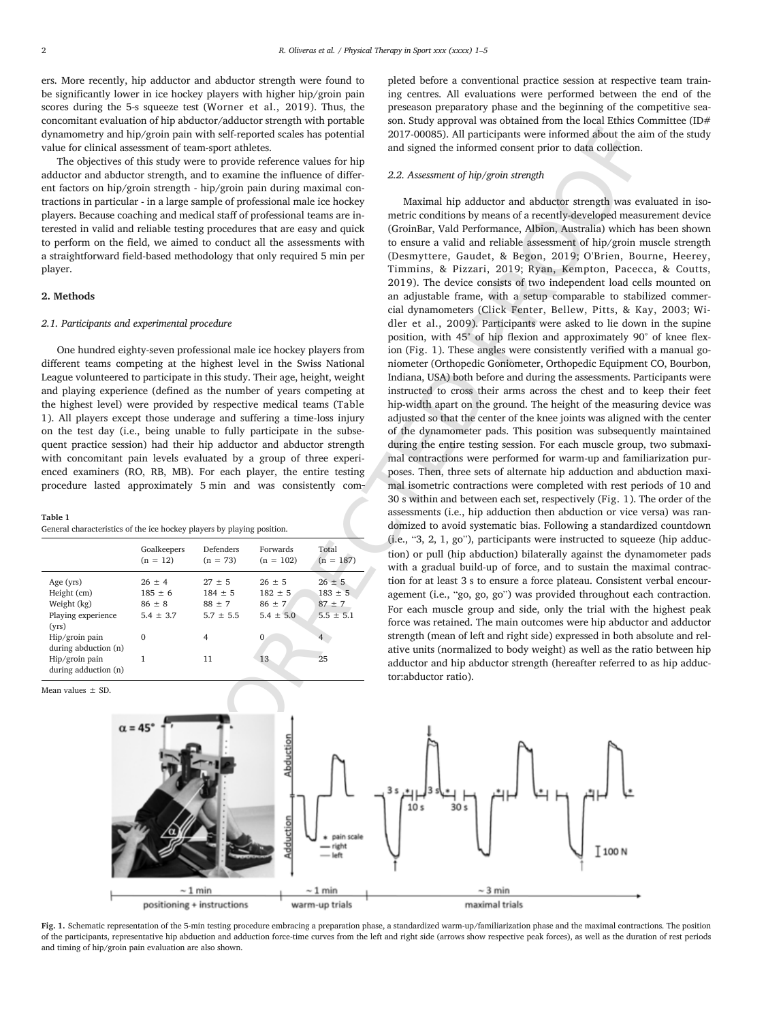ers. More recently, hip adductor and abductor strength were found to be significantly lower in ice hockey players with higher hip/groin pain scores during the 5-s squeeze test (Worner et al., 2019). Thus, the concomitant evaluation of hip abductor/adductor strength with portable dynamometry and hip/groin pain with self-reported scales has potential value for clinical assessment of team-sport athletes.

The objectives of this study were to provide reference values for hip adductor and abductor strength, and to examine the influence of different factors on hip/groin strength - hip/groin pain during maximal contractions in particular - in a large sample of professional male ice hockey players. Because coaching and medical staff of professional teams are interested in valid and reliable testing procedures that are easy and quick to perform on the field, we aimed to conduct all the assessments with a straightforward field-based methodology that only required 5 min per player.

## **2. Methods**

#### *2.1. Participants and experimental procedure*

One hundred eighty-seven professional male ice hockey players from different teams competing at the highest level in the Swiss National League volunteered to participate in this study. Their age, height, weight and playing experience (defined as the number of years competing at the highest level) were provided by respective medical teams (Table 1). All players except those underage and suffering a time-loss injury on the test day (i.e., being unable to fully participate in the subsequent practice session) had their hip adductor and abductor strength with concomitant pain levels evaluated by a group of three experienced examiners (RO, RB, MB). For each player, the entire testing procedure lasted approximately 5 min and was consistently com

#### **Table 1**

General characteristics of the ice hockey players by playing position.

|                      | Goalkeepers<br>$(n = 12)$ | Defenders<br>$(n = 73)$ | Forwards<br>$(n = 102)$ | Total<br>$(n = 187)$ |
|----------------------|---------------------------|-------------------------|-------------------------|----------------------|
| Age (yrs)            | $26 \pm 4$                | $27 + 5$                | $26 + 5$                | $26 \pm 5$           |
| Height (cm)          | $185 \pm 6$               | $184 \pm 5$             | $182 \pm 5$             | $183 \pm 5$          |
| Weight (kg)          | $86 \pm 8$                | $88 + 7$                | $86 \pm 7$              | $87 + 7$             |
| Playing experience   | $5.4 \pm 3.7$             | $5.7 + 5.5$             | $5.4 \pm 5.0$           | $5.5 \pm 5.1$        |
| (vrs)                |                           |                         |                         |                      |
| Hip/groin pain       | $\Omega$                  | 4                       | $\Omega$                | $\overline{4}$       |
| during abduction (n) |                           |                         |                         |                      |
| Hip/groin pain       |                           | 11                      | 13                      | 25                   |
| during adduction (n) |                           |                         |                         |                      |

Mean values  $\pm$  SD

pleted before a conventional practice session at respective team training centres. All evaluations were performed between the end of the preseason preparatory phase and the beginning of the competitive season. Study approval was obtained from the local Ethics Committee (ID# 2017-00085). All participants were informed about the aim of the study and signed the informed consent prior to data collection.

#### *2.2. Assessment of hip/groin strength*

sing rays with the interest of the material and the singular sets in the singular sets in the singular sets in the singular sets in the singular sets in the singular sets in the singular sets in the singular sets in the s Maximal hip adductor and abductor strength was evaluated in isometric conditions by means of a recently-developed measurement device (GroinBar, Vald Performance, Albion, Australia) which has been shown to ensure a valid and reliable assessment of hip/groin muscle strength (Desmyttere, Gaudet, & Begon, 2019; O'Brien, Bourne, Heerey, Timmins, & Pizzari, 2019; Ryan, Kempton, Pacecca, & Coutts, 2019). The device consists of two independent load cells mounted on an adjustable frame, with a setup comparable to stabilized commercial dynamometers (Click Fenter, Bellew, Pitts, & Kay, 2003; Widler et al., 2009). Participants were asked to lie down in the supine position, with 45° of hip flexion and approximately 90° of knee flexion (Fig. 1). These angles were consistently verified with a manual goniometer (Orthopedic Goniometer, Orthopedic Equipment CO, Bourbon, Indiana, USA) both before and during the assessments. Participants were instructed to cross their arms across the chest and to keep their feet hip-width apart on the ground. The height of the measuring device was adjusted so that the center of the knee joints was aligned with the center of the dynamometer pads. This position was subsequently maintained during the entire testing session. For each muscle group, two submaximal contractions were performed for warm-up and familiarization purposes. Then, three sets of alternate hip adduction and abduction maximal isometric contractions were completed with rest periods of 10 and 30 s within and between each set, respectively (Fig. 1). The order of the assessments (i.e., hip adduction then abduction or vice versa) was randomized to avoid systematic bias. Following a standardized countdown (i.e., "3, 2, 1, go"), participants were instructed to squeeze (hip adduction) or pull (hip abduction) bilaterally against the dynamometer pads with a gradual build-up of force, and to sustain the maximal contraction for at least 3 s to ensure a force plateau. Consistent verbal encouragement (i.e., "go, go, go") was provided throughout each contraction. For each muscle group and side, only the trial with the highest peak force was retained. The main outcomes were hip abductor and adductor strength (mean of left and right side) expressed in both absolute and relative units (normalized to body weight) as well as the ratio between hip adductor and hip abductor strength (hereafter referred to as hip adductor:abductor ratio).



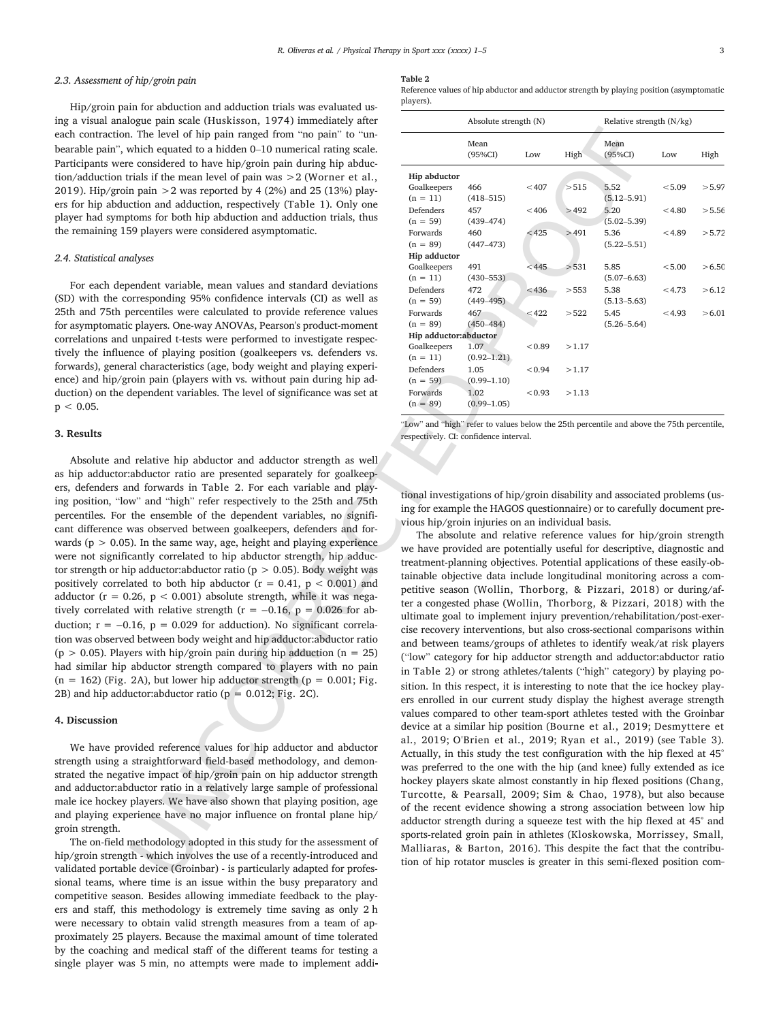#### *2.3. Assessment of hip/groin pain*

Hip/groin pain for abduction and adduction trials was evaluated using a visual analogue pain scale (Huskisson, 1974) immediately after each contraction. The level of hip pain ranged from "no pain" to "unbearable pain", which equated to a hidden 0–10 numerical rating scale. Participants were considered to have hip/groin pain during hip abduction/adduction trials if the mean level of pain was >2 (Worner et al., 2019). Hip/groin pain  $>2$  was reported by 4 (2%) and 25 (13%) players for hip abduction and adduction, respectively (Table 1). Only one player had symptoms for both hip abduction and adduction trials, thus the remaining 159 players were considered asymptomatic.

#### *2.4. Statistical analyses*

For each dependent variable, mean values and standard deviations (SD) with the corresponding 95% confidence intervals (CI) as well as 25th and 75th percentiles were calculated to provide reference values for asymptomatic players. One-way ANOVAs, Pearson's product-moment correlations and unpaired t-tests were performed to investigate respectively the influence of playing position (goalkeepers vs. defenders vs. forwards), general characteristics (age, body weight and playing experience) and hip/groin pain (players with vs. without pain during hip adduction) on the dependent variables. The level of significance was set at  $p < 0.05$ .

## **3. Results**

Absolute and relative hip abductor and adductor strength as well as hip adductor:abductor ratio are presented separately for goalkeepers, defenders and forwards in Table 2. For each variable and playing position, "low" and "high" refer respectively to the 25th and 75th percentiles. For the ensemble of the dependent variables, no significant difference was observed between goalkeepers, defenders and forwards ( $p > 0.05$ ). In the same way, age, height and playing experience were not significantly correlated to hip abductor strength, hip adductor strength or hip adductor: abductor ratio ( $p > 0.05$ ). Body weight was positively correlated to both hip abductor ( $r = 0.41$ ,  $p < 0.001$ ) and adductor ( $r = 0.26$ ,  $p < 0.001$ ) absolute strength, while it was negatively correlated with relative strength ( $r = -0.16$ ,  $p = 0.026$  for abduction;  $r = -0.16$ ,  $p = 0.029$  for adduction). No significant correlation was observed between body weight and hip adductor:abductor ratio (p  $> 0.05$ ). Players with hip/groin pain during hip adduction (n = 25) had similar hip abductor strength compared to players with no pain  $(n = 162)$  (Fig. 2A), but lower hip adductor strength ( $p = 0.001$ ; Fig. 2B) and hip adductor:abductor ratio ( $p = 0.012$ ; Fig. 2C).

#### **4. Discussion**

We have provided reference values for hip adductor and abductor strength using a straightforward field-based methodology, and demonstrated the negative impact of hip/groin pain on hip adductor strength and adductor:abductor ratio in a relatively large sample of professional male ice hockey players. We have also shown that playing position, age and playing experience have no major influence on frontal plane hip/ groin strength.

The on-field methodology adopted in this study for the assessment of hip/groin strength - which involves the use of a recently-introduced and validated portable device (Groinbar) - is particularly adapted for professional teams, where time is an issue within the busy preparatory and competitive season. Besides allowing immediate feedback to the players and staff, this methodology is extremely time saving as only 2 h were necessary to obtain valid strength measures from a team of approximately 25 players. Because the maximal amount of time tolerated by the coaching and medical staff of the different teams for testing a single player was 5 min, no attempts were made to implement addi

#### **Table 2**

Reference values of hip abductor and adductor strength by playing position (asymptomatic players).

|                                              | Absolute strength (N)                 |        |       | Relative strength $(N/kg)$                 |        |        |
|----------------------------------------------|---------------------------------------|--------|-------|--------------------------------------------|--------|--------|
|                                              | Mean<br>$(95\%CI)$                    | Low    | High  | Mean<br>(95%CI)                            | Low    | High   |
| Hip abductor                                 |                                       |        |       |                                            |        |        |
| Goalkeepers<br>$(n = 11)$                    | 466<br>$(418 - 515)$                  | < 407  | >515  | 5.52<br>$(5.12 - 5.91)$                    | < 5.09 | > 5.97 |
| Defenders<br>$(n = 59)$                      | 457<br>$(439 - 474)$                  | < 406  | >492  | 5.20<br>$(5.02 - 5.39)$                    | < 4.80 | > 5.56 |
| Forwards<br>$(n = 89)$                       | 460<br>$(447 - 473)$                  | < 425  | >491  | 5.36<br>$(5.22 - 5.51)$                    | < 4.89 | > 5.72 |
| <b>Hip adductor</b>                          |                                       |        |       |                                            |        |        |
| Goalkeepers                                  | 491                                   | < 445  | >531  | 5.85                                       | < 5.00 | > 6.50 |
| $(n = 11)$<br><b>Defenders</b><br>$(n = 59)$ | $(430 - 553)$<br>472<br>$(449 - 495)$ | < 436  | > 553 | $(5.07 - 6.63)$<br>5.38<br>$(5.13 - 5.63)$ | < 4.73 | > 6.12 |
| Forwards<br>$(n = 89)$                       | 467<br>$(450 - 484)$                  | < 422  | > 522 | 5.45<br>$(5.26 - 5.64)$                    | < 4.93 | >6.01  |
| Hip adductor:abductor                        |                                       |        |       |                                            |        |        |
| Goalkeepers<br>$(n = 11)$                    | 1.07<br>$(0.92 - 1.21)$               | < 0.89 | >1.17 |                                            |        |        |
| Defenders<br>$(n = 59)$                      | 1.05<br>$(0.99 - 1.10)$               | < 0.94 | >1.17 |                                            |        |        |
| Forwards<br>$(n = 89)$                       | 1.02<br>$(0.99 - 1.05)$               | < 0.93 | >1.13 |                                            |        |        |

"Low" and "high" refer to values below the 25th percentile and above the 75th percentile, respectively. CI: confidence interval.

tional investigations of hip/groin disability and associated problems (using for example the HAGOS questionnaire) or to carefully document previous hip/groin injuries on an individual basis.

The level of the particular particular control in the same of the particular control in the same of the particular control in the same of the particular control in the same of the same of the same of the same of the same The absolute and relative reference values for hip/groin strength we have provided are potentially useful for descriptive, diagnostic and treatment-planning objectives. Potential applications of these easily-obtainable objective data include longitudinal monitoring across a competitive season (Wollin, Thorborg, & Pizzari, 2018) or during/after a congested phase (Wollin, Thorborg, & Pizzari, 2018) with the ultimate goal to implement injury prevention/rehabilitation/post-exercise recovery interventions, but also cross-sectional comparisons within and between teams/groups of athletes to identify weak/at risk players ("low" category for hip adductor strength and adductor:abductor ratio in Table 2) or strong athletes/talents ("high" category) by playing position. In this respect, it is interesting to note that the ice hockey players enrolled in our current study display the highest average strength values compared to other team-sport athletes tested with the Groinbar device at a similar hip position (Bourne et al., 2019; Desmyttere et al., 2019; O'Brien et al., 2019; Ryan et al., 2019) (see Table 3). Actually, in this study the test configuration with the hip flexed at 45° was preferred to the one with the hip (and knee) fully extended as ice hockey players skate almost constantly in hip flexed positions (Chang, Turcotte, & Pearsall, 2009; Sim & Chao, 1978), but also because of the recent evidence showing a strong association between low hip adductor strength during a squeeze test with the hip flexed at 45° and sports-related groin pain in athletes (Kloskowska, Morrissey, Small, Malliaras, & Barton, 2016). This despite the fact that the contribution of hip rotator muscles is greater in this semi-flexed position com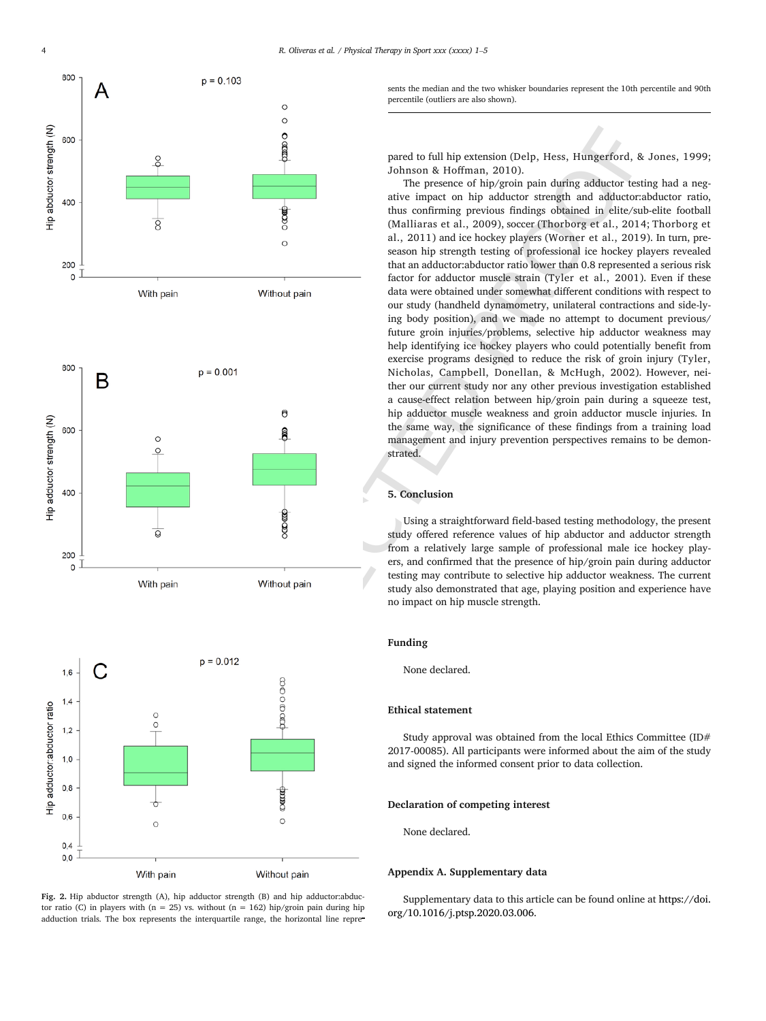





sents the median and the two whisker boundaries represent the 10th percentile and 90th percentile (outliers are also shown).

pared to full hip extension (Delp, Hess, Hungerford, & Jones, 1999; Johnson & Hoffman, 2010).

The presence of hip/groin pain during adductor testing had a negative impact on hip adductor strength and adductor:abductor ratio, thus confirming previous findings obtained in elite/sub-elite football (Malliaras et al., 2009), soccer (Thorborg et al., 2014; Thorborg et al., 2011) and ice hockey players (Worner et al., 2019). In turn, preseason hip strength testing of professional ice hockey players revealed that an adductor:abductor ratio lower than 0.8 represented a serious risk factor for adductor muscle strain (Tyler et al., 2001). Even if these data were obtained under somewhat different conditions with respect to our study (handheld dynamometry, unilateral contractions and side-lying body position), and we made no attempt to document previous/ future groin injuries/problems, selective hip adductor weakness may help identifying ice hockey players who could potentially benefit from exercise programs designed to reduce the risk of groin injury (Tyler, Nicholas, Campbell, Donellan, & McHugh, 2002). However, neither our current study nor any other previous investigation established a cause-effect relation between hip/groin pain during a squeeze test, hip adductor muscle weakness and groin adductor muscle injuries. In the same way, the significance of these findings from a training load management and injury prevention perspectives remains to be demonstrated.

#### **5. Conclusion**

Using a straightforward field-based testing methodology, the present study offered reference values of hip abductor and adductor strength from a relatively large sample of professional male ice hockey players, and confirmed that the presence of hip/groin pain during adductor testing may contribute to selective hip adductor weakness. The current study also demonstrated that age, playing position and experience have no impact on hip muscle strength.

#### **Funding**

None declared.

### **Ethical statement**

Study approval was obtained from the local Ethics Committee (ID# 2017-00085). All participants were informed about the aim of the study and signed the informed consent prior to data collection.

### **Declaration of competing interest**

None declared.

#### **Appendix A. Supplementary data**

Supplementary data to this article can be found online at [https://doi.](https://doi.org/10.1016/j.ptsp.2020.03.006) [org/10.1016/j.ptsp.2020.03.006](https://doi.org/10.1016/j.ptsp.2020.03.006).